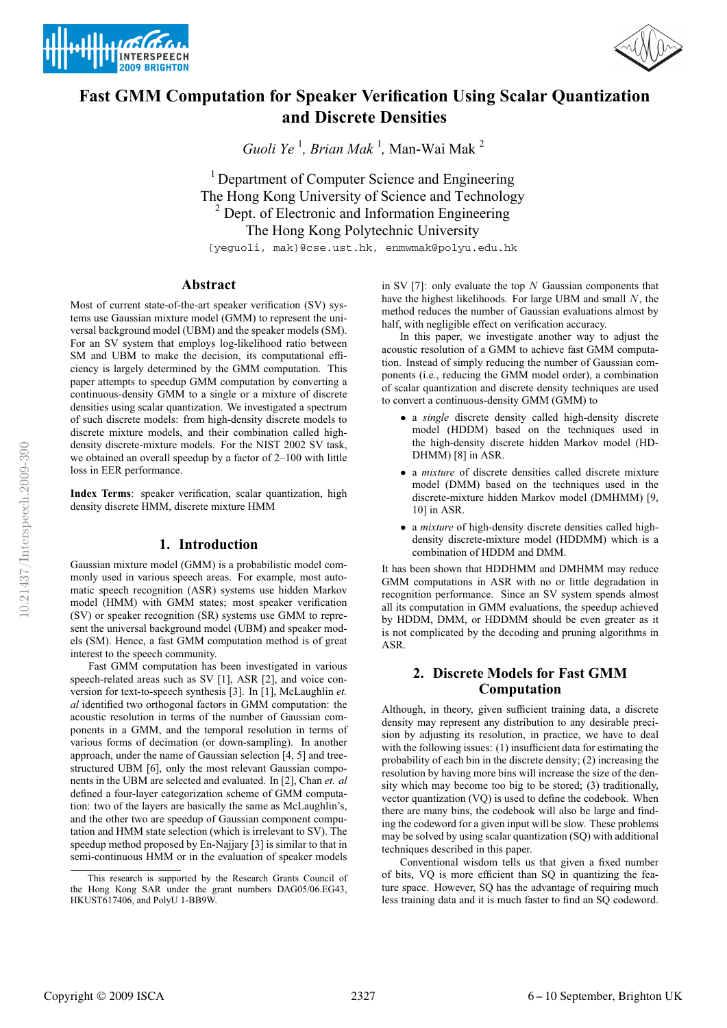



# **Fast GMM Computation for Speaker Verification Using Scalar Quantization and Discrete Densities**

*Guoli Ye*<sup>1</sup>, *Brian Mak*<sup>1</sup>, Man-Wai Mak<sup>2</sup>

<sup>1</sup> Department of Computer Science and Engineering The Hong Kong University of Science and Technology <sup>2</sup> Dept. of Electronic and Information Engineering The Hong Kong Polytechnic University

{yeguoli, mak}@cse.ust.hk, enmwmak@polyu.edu.hk

## **Abstract**

Most of current state-of-the-art speaker verification (SV) systems use Gaussian mixture model (GMM) to represent the universal background model (UBM) and the speaker models (SM). For an SV system that employs log-likelihood ratio between SM and UBM to make the decision, its computational efficiency is largely determined by the GMM computation. This paper attempts to speedup GMM computation by converting a continuous-density GMM to a single or a mixture of discrete densities using scalar quantization. We investigated a spectrum of such discrete models: from high-density discrete models to discrete mixture models, and their combination called highdensity discrete-mixture models. For the NIST 2002 SV task, we obtained an overall speedup by a factor of 2–100 with little loss in EER performance.

**Index Terms**: speaker verification, scalar quantization, high density discrete HMM, discrete mixture HMM

## **1. Introduction**

Gaussian mixture model (GMM) is a probabilistic model commonly used in various speech areas. For example, most automatic speech recognition (ASR) systems use hidden Markov model (HMM) with GMM states; most speaker verification (SV) or speaker recognition (SR) systems use GMM to represent the universal background model (UBM) and speaker models (SM). Hence, a fast GMM computation method is of great interest to the speech community.

Fast GMM computation has been investigated in various speech-related areas such as SV [1], ASR [2], and voice conversion for text-to-speech synthesis [3]. In [1], McLaughlin *et. al* identified two orthogonal factors in GMM computation: the acoustic resolution in terms of the number of Gaussian components in a GMM, and the temporal resolution in terms of various forms of decimation (or down-sampling). In another approach, under the name of Gaussian selection [4, 5] and treestructured UBM [6], only the most relevant Gaussian components in the UBM are selected and evaluated. In [2], Chan *et. al* defined a four-layer categorization scheme of GMM computation: two of the layers are basically the same as McLaughlin's, and the other two are speedup of Gaussian component computation and HMM state selection (which is irrelevant to SV). The speedup method proposed by En-Najjary [3] is similar to that in semi-continuous HMM or in the evaluation of speaker models in SV [7]: only evaluate the top  $N$  Gaussian components that have the highest likelihoods. For large UBM and small N, the method reduces the number of Gaussian evaluations almost by half, with negligible effect on verification accuracy.

In this paper, we investigate another way to adjust the acoustic resolution of a GMM to achieve fast GMM computation. Instead of simply reducing the number of Gaussian components (i.e., reducing the GMM model order), a combination of scalar quantization and discrete density techniques are used to convert a continuous-density GMM (GMM) to

- a *single* discrete density called high-density discrete model (HDDM) based on the techniques used in the high-density discrete hidden Markov model (HD-DHMM) [8] in ASR.
- a *mixture* of discrete densities called discrete mixture model (DMM) based on the techniques used in the discrete-mixture hidden Markov model (DMHMM) [9, 10] in ASR.
- a *mixture* of high-density discrete densities called highdensity discrete-mixture model (HDDMM) which is a combination of HDDM and DMM.

It has been shown that HDDHMM and DMHMM may reduce GMM computations in ASR with no or little degradation in recognition performance. Since an SV system spends almost all its computation in GMM evaluations, the speedup achieved by HDDM, DMM, or HDDMM should be even greater as it is not complicated by the decoding and pruning algorithms in ASR.

## **2. Discrete Models for Fast GMM Computation**

Although, in theory, given sufficient training data, a discrete density may represent any distribution to any desirable precision by adjusting its resolution, in practice, we have to deal with the following issues: (1) insufficient data for estimating the probability of each bin in the discrete density; (2) increasing the resolution by having more bins will increase the size of the density which may become too big to be stored; (3) traditionally, vector quantization (VQ) is used to define the codebook. When there are many bins, the codebook will also be large and finding the codeword for a given input will be slow. These problems may be solved by using scalar quantization (SQ) with additional techniques described in this paper.

Conventional wisdom tells us that given a fixed number of bits, VQ is more efficient than SQ in quantizing the feature space. However, SQ has the advantage of requiring much less training data and it is much faster to find an SQ codeword.

This research is supported by the Research Grants Council of the Hong Kong SAR under the grant numbers DAG05/06.EG43, HKUST617406, and PolyU 1-BB9W.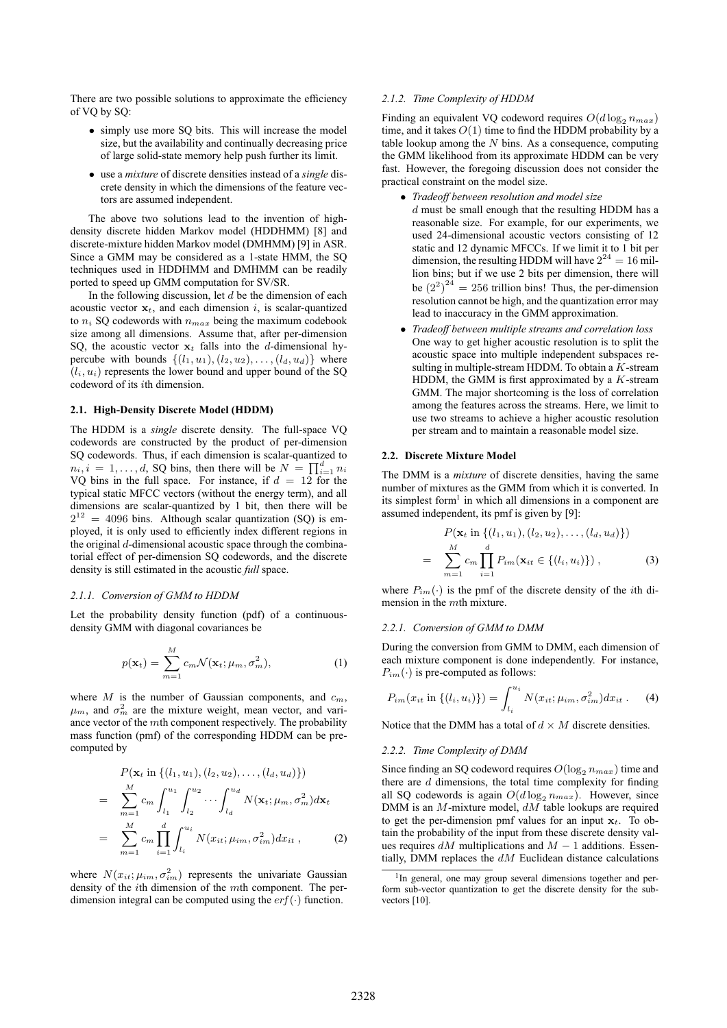There are two possible solutions to approximate the efficiency of VQ by SQ:

- simply use more SO bits. This will increase the model size, but the availability and continually decreasing price of large solid-state memory help push further its limit.
- use a *mixture* of discrete densities instead of a *single* discrete density in which the dimensions of the feature vectors are assumed independent.

The above two solutions lead to the invention of highdensity discrete hidden Markov model (HDDHMM) [8] and discrete-mixture hidden Markov model (DMHMM) [9] in ASR. Since a GMM may be considered as a 1-state HMM, the SQ techniques used in HDDHMM and DMHMM can be readily ported to speed up GMM computation for SV/SR.

In the following discussion, let  $d$  be the dimension of each acoustic vector  $x_t$ , and each dimension i, is scalar-quantized to  $n_i$  SQ codewords with  $n_{max}$  being the maximum codebook size among all dimensions. Assume that, after per-dimension SQ, the acoustic vector  $x_t$  falls into the d-dimensional hypercube with bounds  $\{(l_1, u_1), (l_2, u_2), \ldots, (l_d, u_d)\}\$  where  $(l_i, u_i)$  represents the lower bound and upper bound of the SQ codeword of its ith dimension.

#### **2.1. High-Density Discrete Model (HDDM)**

The HDDM is a *single* discrete density. The full-space VQ codewords are constructed by the product of per-dimension SQ codewords. Thus, if each dimension is scalar-quantized to  $n_i, i = 1, \ldots, d$ , SQ bins, then there will be  $N = \prod_{i=1}^{d} n_i$ VQ bins in the full space. For instance, if  $d = 12$  for the typical static MFCC vectors (without the energy term), and all dimensions are scalar-quantized by 1 bit, then there will be  $2^{12}$  = 4096 bins. Although scalar quantization (SQ) is employed, it is only used to efficiently index different regions in the original  $d$ -dimensional acoustic space through the combinatorial effect of per-dimension SQ codewords, and the discrete density is still estimated in the acoustic *full* space.

#### *2.1.1. Conversion of GMM to HDDM*

Let the probability density function (pdf) of a continuousdensity GMM with diagonal covariances be

$$
p(\mathbf{x}_t) = \sum_{m=1}^{M} c_m \mathcal{N}(\mathbf{x}_t; \mu_m, \sigma_m^2),
$$
 (1)

where  $M$  is the number of Gaussian components, and  $c_m$ ,  $\mu_m$ , and  $\sigma_m^2$  are the mixture weight, mean vector, and variance vector of the mth component respectively. The probability mass function (pmf) of the corresponding HDDM can be precomputed by

$$
P(\mathbf{x}_t \text{ in } \{(l_1, u_1), (l_2, u_2), \dots, (l_d, u_d)\})
$$
  
= 
$$
\sum_{m=1}^{M} c_m \int_{l_1}^{u_1} \int_{l_2}^{u_2} \dots \int_{l_d}^{u_d} N(\mathbf{x}_t; \mu_m, \sigma_m^2) d\mathbf{x}_t
$$
  
= 
$$
\sum_{m=1}^{M} c_m \prod_{i=1}^{d} \int_{l_i}^{u_i} N(x_{it}; \mu_{im}, \sigma_{im}^2) dx_{it},
$$
 (2)

where  $N(x_{it}; \mu_{im}, \sigma_{im}^2)$  represents the univariate Gaussian density of the ith dimension of the mth component. The perdimension integral can be computed using the  $erf(\cdot)$  function.

## *2.1.2. Time Complexity of HDDM*

Finding an equivalent VQ codeword requires  $O(d \log_2 n_{max})$ time, and it takes  $O(1)$  time to find the HDDM probability by a table lookup among the  $N$  bins. As a consequence, computing the GMM likelihood from its approximate HDDM can be very fast. However, the foregoing discussion does not consider the practical constraint on the model size.

- *Tradeoff between resolution and model size*
- $d$  must be small enough that the resulting HDDM has a reasonable size. For example, for our experiments, we used 24-dimensional acoustic vectors consisting of 12 static and 12 dynamic MFCCs. If we limit it to 1 bit per dimension, the resulting HDDM will have  $2^{24} = 16$  million bins; but if we use 2 bits per dimension, there will be  $(2^2)^{24} = 256$  trillion bins! Thus, the per-dimension resolution cannot be high, and the quantization error may lead to inaccuracy in the GMM approximation.
- *Tradeoff between multiple streams and correlation loss* One way to get higher acoustic resolution is to split the acoustic space into multiple independent subspaces resulting in multiple-stream HDDM. To obtain a  $K$ -stream HDDM, the GMM is first approximated by a  $K$ -stream GMM. The major shortcoming is the loss of correlation among the features across the streams. Here, we limit to use two streams to achieve a higher acoustic resolution per stream and to maintain a reasonable model size.

#### **2.2. Discrete Mixture Model**

The DMM is a *mixture* of discrete densities, having the same number of mixtures as the GMM from which it is converted. In its simplest form<sup>1</sup> in which all dimensions in a component are assumed independent, its pmf is given by [9]:

$$
P(\mathbf{x}_t \text{ in } \{(l_1, u_1), (l_2, u_2), \dots, (l_d, u_d)\})
$$
  
= 
$$
\sum_{m=1}^{M} c_m \prod_{i=1}^{d} P_{im}(\mathbf{x}_{it} \in \{(l_i, u_i)\}),
$$
 (3)

where  $P_{im}(\cdot)$  is the pmf of the discrete density of the *i*th dimension in the  $m$ th mixture.

#### *2.2.1. Conversion of GMM to DMM*

During the conversion from GMM to DMM, each dimension of each mixture component is done independently. For instance,  $P_{im}(\cdot)$  is pre-computed as follows:

$$
P_{im}(x_{it} \text{ in } \{(l_i, u_i)\}) = \int_{l_i}^{u_i} N(x_{it}; \mu_{im}, \sigma_{im}^2) dx_{it}. \tag{4}
$$

Notice that the DMM has a total of  $d \times M$  discrete densities.

#### *2.2.2. Time Complexity of DMM*

Since finding an SQ codeword requires  $O(\log_2 n_{max})$  time and there are  $d$  dimensions, the total time complexity for finding all SQ codewords is again  $O(d \log_2 n_{max})$ . However, since DMM is an M-mixture model, dM table lookups are required to get the per-dimension pmf values for an input  $x_t$ . To obtain the probability of the input from these discrete density values requires  $dM$  multiplications and  $M - 1$  additions. Essentially, DMM replaces the  $dM$  Euclidean distance calculations

<sup>&</sup>lt;sup>1</sup>In general, one may group several dimensions together and perform sub-vector quantization to get the discrete density for the subvectors [10].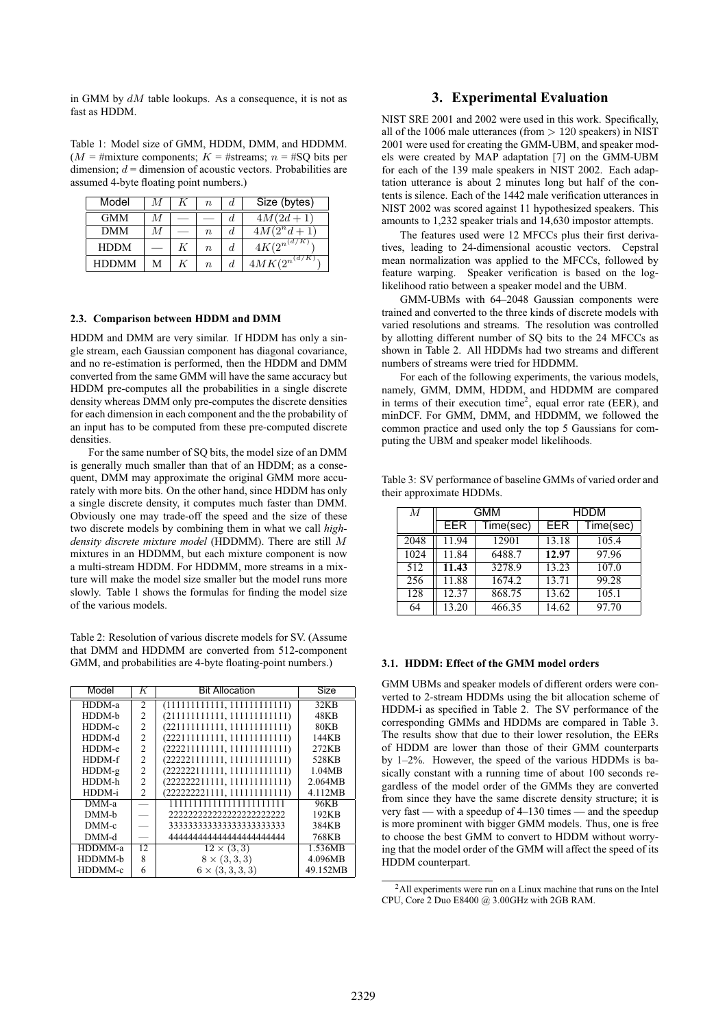in GMM by  $dM$  table lookups. As a consequence, it is not as fast as HDDM.

Table 1: Model size of GMM, HDDM, DMM, and HDDMM.  $(M = \text{#mixture components}; K = \text{#stress}; n = \text{#SQ bits per})$ dimension;  $d =$  dimension of acoustic vectors. Probabilities are assumed 4-byte floating point numbers.)

| Model        | М |   | $\boldsymbol{n}$ | đ. | Size (bytes)                    |
|--------------|---|---|------------------|----|---------------------------------|
| <b>GMM</b>   | М |   |                  | a. | $4M(2d+1)$                      |
| <b>DMM</b>   | М |   | $\,n$            | đ. | $4M(2^n d + 1)$                 |
| <b>HDDM</b>  |   | K | $\boldsymbol{n}$ | d. | $4K(2^{n^{\left(d/K\right)}})$  |
| <b>HDDMM</b> | М | K | $\boldsymbol{n}$ | d. | $4MK(2^{n^{\left(d/K\right)}})$ |

### **2.3. Comparison between HDDM and DMM**

HDDM and DMM are very similar. If HDDM has only a single stream, each Gaussian component has diagonal covariance, and no re-estimation is performed, then the HDDM and DMM converted from the same GMM will have the same accuracy but HDDM pre-computes all the probabilities in a single discrete density whereas DMM only pre-computes the discrete densities for each dimension in each component and the the probability of an input has to be computed from these pre-computed discrete densities.

For the same number of SQ bits, the model size of an DMM is generally much smaller than that of an HDDM; as a consequent, DMM may approximate the original GMM more accurately with more bits. On the other hand, since HDDM has only a single discrete density, it computes much faster than DMM. Obviously one may trade-off the speed and the size of these two discrete models by combining them in what we call *highdensity discrete mixture model* (HDDMM). There are still M mixtures in an HDDMM, but each mixture component is now a multi-stream HDDM. For HDDMM, more streams in a mixture will make the model size smaller but the model runs more slowly. Table 1 shows the formulas for finding the model size of the various models.

Table 2: Resolution of various discrete models for SV. (Assume that DMM and HDDMM are converted from 512-component GMM, and probabilities are 4-byte floating-point numbers.)

| Model    | K              | <b>Bit Allocation</b>        | Size     |
|----------|----------------|------------------------------|----------|
| HDDM-a   | 2              | (111111111111, 111111111111) | 32KB     |
| HDDM-b   | $\mathcal{L}$  | (211111111111, 111111111111) | 48KB     |
| HDDM-c   | $\overline{2}$ | (221111111111, 111111111111) | 80KB     |
| HDDM-d   | $\overline{2}$ | (222111111111, 111111111111) | 144KB    |
| HDDM-e   | $\overline{c}$ | (222211111111, 111111111111) | 272KB    |
| HDDM-f   | $\overline{c}$ | (222221111111, 111111111111) | 528KB    |
| $HDDM-g$ | $\overline{c}$ | (22222211111, 111111111111)  | 1.04MB   |
| HDDM-h   | $\overline{c}$ | (222222211111, 111111111111) | 2.064MB  |
| HDDM-i   | $\mathfrak{D}$ | (222222221111, 111111111111) | 4.112MB  |
| DMM-a    |                | 111111111111111111111111     | 96KB     |
| DMM-b    |                | 222222222222222222222222     | 192KB    |
| $DMM-c$  |                | 33333333333333333333333      | 384KB    |
| DMM-d    |                | 44444444444444444444444      | 768KB    |
| HDDMM-a  | 12             | $12 \times (3,3)$            | 1.536MB  |
| HDDMM-b  | 8              | $8 \times (3, 3, 3)$         | 4.096MB  |
| HDDMM-c  | 6              | $6 \times (3, 3, 3, 3)$      | 49.152MB |

## **3. Experimental Evaluation**

NIST SRE 2001 and 2002 were used in this work. Specifically, all of the 1006 male utterances (from  $> 120$  speakers) in NIST 2001 were used for creating the GMM-UBM, and speaker models were created by MAP adaptation [7] on the GMM-UBM for each of the 139 male speakers in NIST 2002. Each adaptation utterance is about 2 minutes long but half of the contents is silence. Each of the 1442 male verification utterances in NIST 2002 was scored against 11 hypothesized speakers. This amounts to 1,232 speaker trials and 14,630 impostor attempts.

The features used were 12 MFCCs plus their first derivatives, leading to 24-dimensional acoustic vectors. Cepstral mean normalization was applied to the MFCCs, followed by feature warping. Speaker verification is based on the loglikelihood ratio between a speaker model and the UBM.

GMM-UBMs with 64–2048 Gaussian components were trained and converted to the three kinds of discrete models with varied resolutions and streams. The resolution was controlled by allotting different number of SQ bits to the 24 MFCCs as shown in Table 2. All HDDMs had two streams and different numbers of streams were tried for HDDMM.

For each of the following experiments, the various models, namely, GMM, DMM, HDDM, and HDDMM are compared in terms of their execution time<sup>2</sup>, equal error rate (EER), and minDCF. For GMM, DMM, and HDDMM, we followed the common practice and used only the top 5 Gaussians for computing the UBM and speaker model likelihoods.

| M    | <b>GMM</b> |           | HDDM  |           |  |
|------|------------|-----------|-------|-----------|--|
|      | EER        | Time(sec) | EER   | Time(sec) |  |
| 2048 | 11.94      | 12901     | 13.18 | 105.4     |  |
| 1024 | 11.84      | 6488.7    | 12.97 | 97.96     |  |
| 512  | 11.43      | 3278.9    | 13.23 | 107.0     |  |
| 256  | 11.88      | 1674.2    | 13.71 | 99.28     |  |
| 128  | 12.37      | 868.75    | 13.62 | 105.1     |  |
| 64   | 13.20      | 466.35    | 14.62 | 97.70     |  |

Table 3: SV performance of baseline GMMs of varied order and their approximate HDDMs.

#### **3.1. HDDM: Effect of the GMM model orders**

GMM UBMs and speaker models of different orders were converted to 2-stream HDDMs using the bit allocation scheme of HDDM-i as specified in Table 2. The SV performance of the corresponding GMMs and HDDMs are compared in Table 3. The results show that due to their lower resolution, the EERs of HDDM are lower than those of their GMM counterparts by 1–2%. However, the speed of the various HDDMs is basically constant with a running time of about 100 seconds regardless of the model order of the GMMs they are converted from since they have the same discrete density structure; it is very fast — with a speedup of 4–130 times — and the speedup is more prominent with bigger GMM models. Thus, one is free to choose the best GMM to convert to HDDM without worrying that the model order of the GMM will affect the speed of its HDDM counterpart.

<sup>2</sup>All experiments were run on a Linux machine that runs on the Intel CPU, Core 2 Duo E8400 @ 3.00GHz with 2GB RAM.